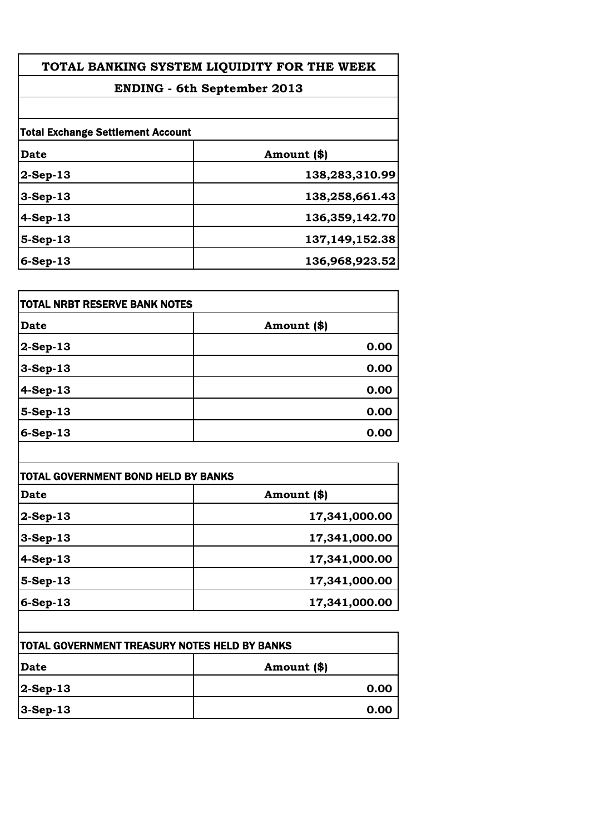| TOTAL BANKING SYSTEM LIQUIDITY FOR THE WEEK |                |  |
|---------------------------------------------|----------------|--|
| <b>ENDING - 6th September 2013</b>          |                |  |
|                                             |                |  |
| <b>Total Exchange Settlement Account</b>    |                |  |
| Date                                        | Amount (\$)    |  |
| $2-Sep-13$                                  | 138,283,310.99 |  |
| $3-Sep-13$                                  | 138,258,661.43 |  |
| $4-Sep-13$                                  | 136,359,142.70 |  |
| $5-Sep-13$                                  | 137,149,152.38 |  |
| $6-Sep-13$                                  | 136,968,923.52 |  |
|                                             |                |  |

| <b>TOTAL NRBT RESERVE BANK NOTES</b> |             |
|--------------------------------------|-------------|
| <b>Date</b>                          | Amount (\$) |
| $ 2$ -Sep-13                         | 0.00        |
| $3-Sep-13$                           | 0.00        |
| $4-Sep-13$                           | 0.00        |
| $5-Sep-13$                           | 0.00        |
| $6-Sep-13$                           | 0.00        |

| Date        | Amount (\$)   |
|-------------|---------------|
| $2$ -Sep-13 | 17,341,000.00 |
| $3-Sep-13$  | 17,341,000.00 |
| $4-Sep-13$  | 17,341,000.00 |
| 5-Sep-13    | 17,341,000.00 |
| $6-Sep-13$  | 17,341,000.00 |

| <b>TOTAL GOVERNMENT TREASURY NOTES HELD BY BANKS</b> |             |
|------------------------------------------------------|-------------|
| <b> Date</b>                                         | Amount (\$) |
| $ 2$ -Sep-13                                         | 0.00        |
| $3-Sep-13$                                           | 0.00        |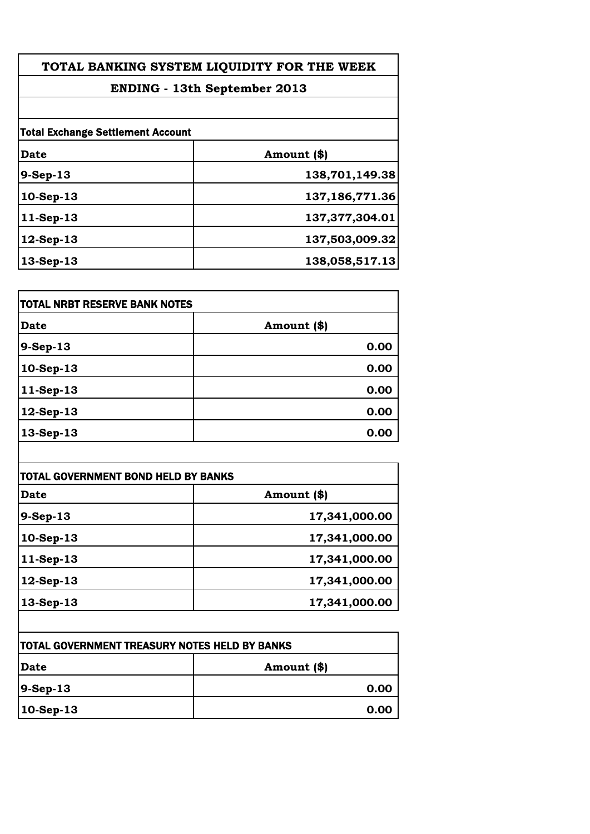| TOTAL BANKING SYSTEM LIQUIDITY FOR THE WEEK<br><b>ENDING - 13th September 2013</b> |                   |  |
|------------------------------------------------------------------------------------|-------------------|--|
|                                                                                    |                   |  |
| <b>Total Exchange Settlement Account</b>                                           |                   |  |
| Date                                                                               | Amount (\$)       |  |
| $9-Sep-13$                                                                         | 138,701,149.38    |  |
| 10-Sep-13                                                                          | 137,186,771.36    |  |
| $11-Sep-13$                                                                        | 137, 377, 304. 01 |  |
| $12$ -Sep-13                                                                       | 137,503,009.32    |  |
| 13-Sep-13                                                                          | 138,058,517.13    |  |
|                                                                                    |                   |  |

| <b>TOTAL NRBT RESERVE BANK NOTES</b> |             |
|--------------------------------------|-------------|
| <b>Date</b>                          | Amount (\$) |
| 9-Sep-13                             | 0.00        |
| 10-Sep-13                            | 0.00        |
| $ 11-Sep-13$                         | 0.00        |
| $ 12$ -Sep-13                        | 0.00        |
| $13-Sep-13$                          | 0.00        |

| Date        | Amount (\$)   |
|-------------|---------------|
| $9-Sep-13$  | 17,341,000.00 |
| $10-Sep-13$ | 17,341,000.00 |
| $11-Sep-13$ | 17,341,000.00 |
| 12-Sep-13   | 17,341,000.00 |
| 13-Sep-13   | 17,341,000.00 |

| <b>TOTAL GOVERNMENT TREASURY NOTES HELD BY BANKS</b> |             |
|------------------------------------------------------|-------------|
| Date                                                 | Amount (\$) |
| $ 9-Sep-13 $                                         | 0.00        |
| $ 10$ -Sep-13                                        | 0.00        |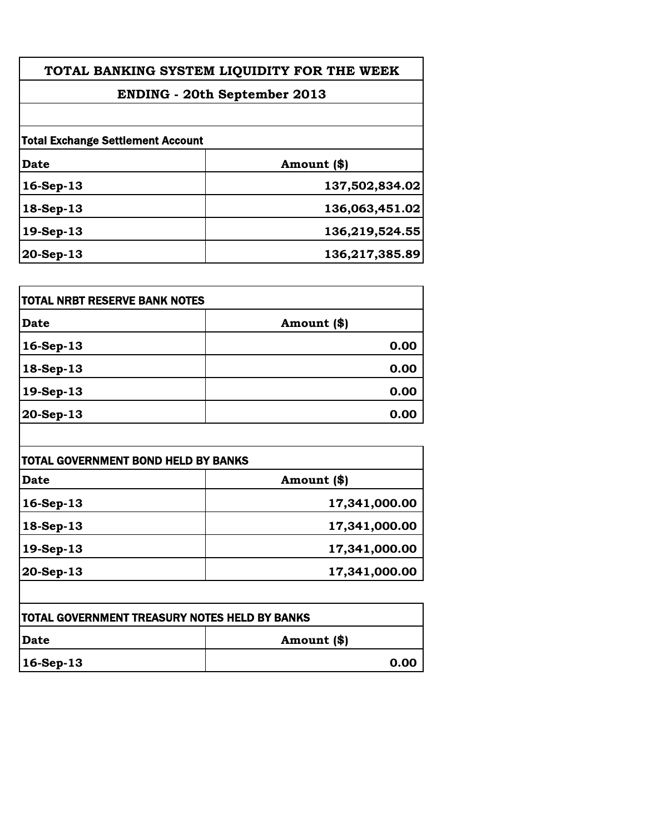| TOTAL BANKING SYSTEM LIQUIDITY FOR THE WEEK |                |
|---------------------------------------------|----------------|
| ENDING - 20th September 2013                |                |
|                                             |                |
| <b>Total Exchange Settlement Account</b>    |                |
| Date                                        | Amount (\$)    |
| $16-Sep-13$                                 | 137,502,834.02 |
| $18-Sep-13$                                 | 136,063,451.02 |
| 19-Sep-13                                   | 136,219,524.55 |
| $20-Sep-13$                                 | 136,217,385.89 |
|                                             |                |

| TOTAL NRBT RESERVE BANK NOTES |             |
|-------------------------------|-------------|
| <b>Date</b>                   | Amount (\$) |
| $16-Sep-13$                   | 0.00        |
| $ 18-Sep-13$                  | 0.00        |
| 19-Sep-13                     | 0.00        |
| 20-Sep-13                     | 0.00        |

| Date                   | Amount (\$)   |
|------------------------|---------------|
| 16-Sep-13              | 17,341,000.00 |
| 18-Sep-13              | 17,341,000.00 |
| $19-Sep-13$            | 17,341,000.00 |
| $ 20 - \text{Sep-13} $ | 17,341,000.00 |

| <b>TOTAL GOVERNMENT TREASURY NOTES HELD BY BANKS</b> |             |
|------------------------------------------------------|-------------|
| <b>IDate</b>                                         | Amount (\$) |
| $ 16 - \text{Sep-}13 $                               | 0.00        |